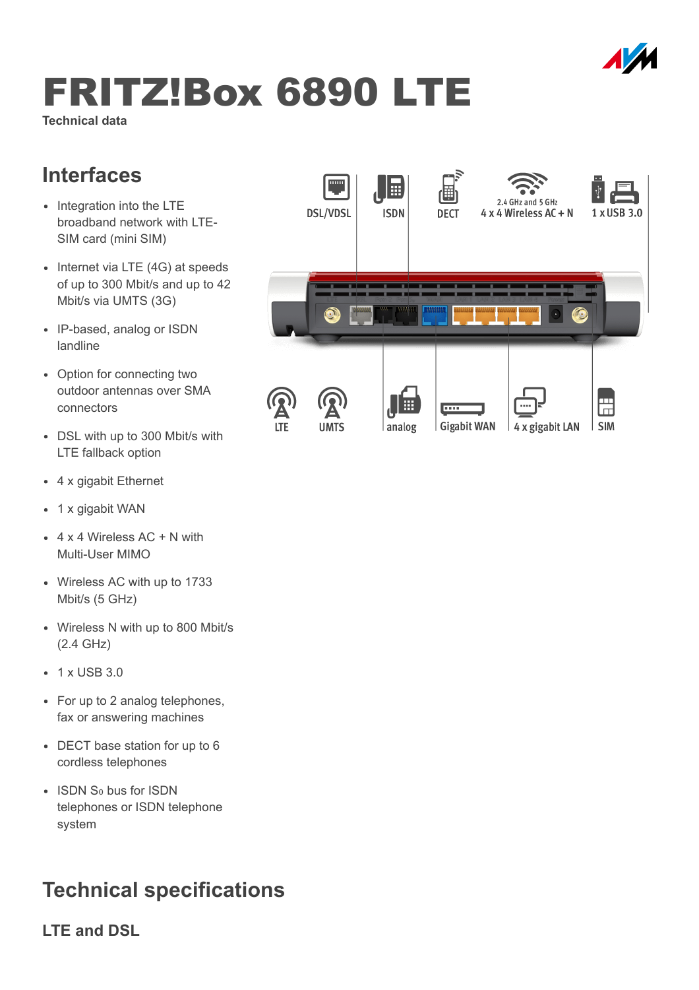

# FRITZ!Box 6890 LTE

Technical data

## Interfaces

- Integration into the LTE broadband network with LTE-SIM card (mini SIM)
- $\bullet$  Internet via LTE (4G) at speeds of up to 300 Mbit/s and up to 42 Mbit/s via UMTS (3G)
- IP-based, analog or ISDN landline
- Option for connecting two outdoor antennas over SMA connectors
- DSL with up to 300 Mbit/s with LTE fallback option
- 4 x gigabit Ethernet
- 1 x gigabit WAN
- $\bullet$  4 x 4 Wireless AC + N with Multi-User MIMO
- Wireless AC with up to 1733 Mbit/s (5 GHz)
- Wireless N with up to 800 Mbit/s (2.4 GHz)
- 1 x USB 3.0
- For up to 2 analog telephones, fax or answering machines
- DECT base station for up to 6 cordless telephones
- ISDN So bus for ISDN telephones or ISDN telephone system

# Technical specifications

LTE and DSL

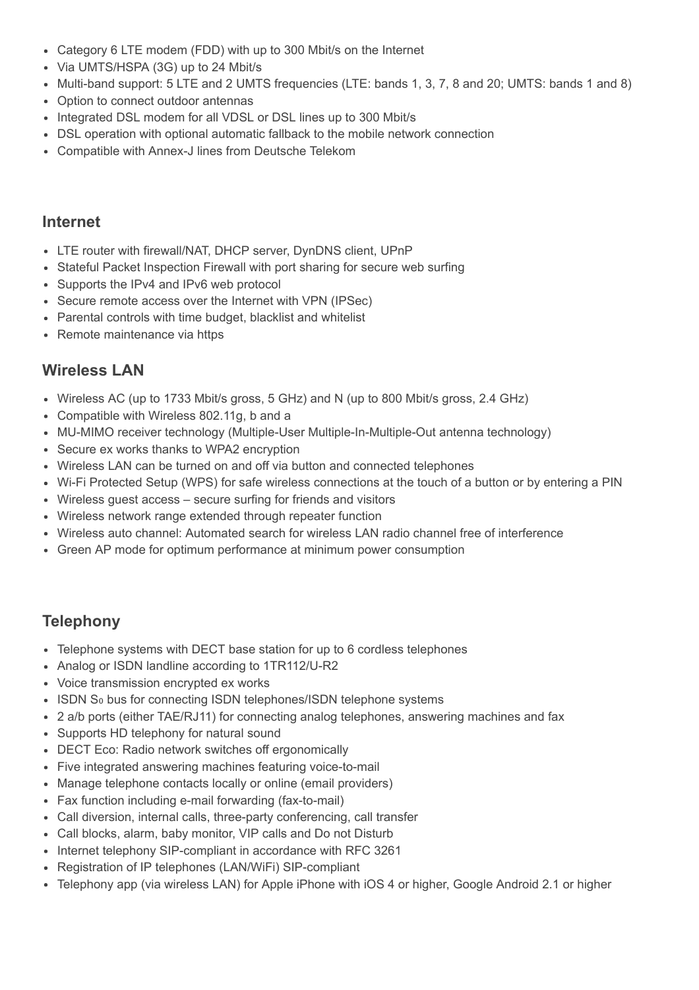- Category 6 LTE modem (FDD) with up to 300 Mbit/s on the Internet
- Via UMTS/HSPA (3G) up to 24 Mbit/s
- Multi-band support: 5 LTE and 2 UMTS frequencies (LTE: bands 1, 3, 7, 8 and 20; UMTS: bands 1 and 8)
- Option to connect outdoor antennas
- Integrated DSL modem for all VDSL or DSL lines up to 300 Mbit/s
- DSL operation with optional automatic fallback to the mobile network connection
- Compatible with Annex-J lines from Deutsche Telekom

#### Internet

- LTE router with firewall/NAT, DHCP server, DynDNS client, UPnP
- Stateful Packet Inspection Firewall with port sharing for secure web surfing
- Supports the IPv4 and IPv6 web protocol
- Secure remote access over the Internet with VPN (IPSec)
- Parental controls with time budget, blacklist and whitelist
- Remote maintenance via https

#### Wireless LAN

- Wireless AC (up to 1733 Mbit/s gross, 5 GHz) and N (up to 800 Mbit/s gross, 2.4 GHz)
- Compatible with Wireless 802.11g, b and a
- MU-MIMO receiver technology (Multiple-User Multiple-In-Multiple-Out antenna technology)
- Secure ex works thanks to WPA2 encryption
- Wireless LAN can be turned on and off via button and connected telephones
- Wi-Fi Protected Setup (WPS) for safe wireless connections at the touch of a button or by entering a PIN
- Wireless guest access secure surfing for friends and visitors
- Wireless network range extended through repeater function
- Wireless auto channel: Automated search for wireless LAN radio channel free of interference
- Green AP mode for optimum performance at minimum power consumption

#### **Telephony**

- Telephone systems with DECT base station for up to 6 cordless telephones
- Analog or ISDN landline according to 1TR112/U-R2
- Voice transmission encrypted ex works
- ISDN So bus for connecting ISDN telephones/ISDN telephone systems
- 2 a/b ports (either TAE/RJ11) for connecting analog telephones, answering machines and fax
- Supports HD telephony for natural sound
- DECT Eco: Radio network switches off ergonomically
- Five integrated answering machines featuring voice-to-mail
- Manage telephone contacts locally or online (email providers)
- Fax function including e-mail forwarding (fax-to-mail)
- Call diversion, internal calls, three-party conferencing, call transfer
- Call blocks, alarm, baby monitor, VIP calls and Do not Disturb
- Internet telephony SIP-compliant in accordance with RFC 3261
- Registration of IP telephones (LAN/WiFi) SIP-compliant
- Telephony app (via wireless LAN) for Apple iPhone with iOS 4 or higher, Google Android 2.1 or higher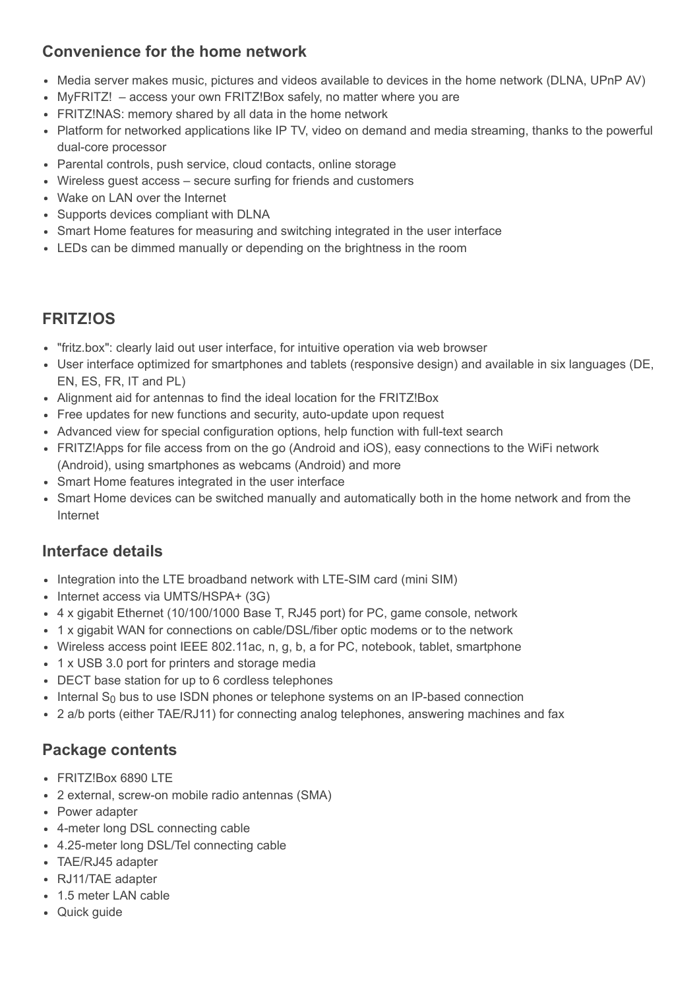#### Convenience for the home network

- Media server makes music, pictures and videos available to devices in the home network (DLNA, UPnP AV)
- MyFRITZ! access your own FRITZ!Box safely, no matter where you are
- FRITZ!NAS: memory shared by all data in the home network
- Platform for networked applications like IP TV, video on demand and media streaming, thanks to the powerful dual-core processor
- Parental controls, push service, cloud contacts, online storage
- Wireless guest access secure surfing for friends and customers
- Wake on LAN over the Internet
- Supports devices compliant with DLNA
- Smart Home features for measuring and switching integrated in the user interface
- LEDs can be dimmed manually or depending on the brightness in the room

#### FRITZ!OS

- "fritz.box": clearly laid out user interface, for intuitive operation via web browser
- User interface optimized for smartphones and tablets (responsive design) and available in six languages (DE, EN, ES, FR, IT and PL)
- Alignment aid for antennas to find the ideal location for the FRITZ!Box
- Free updates for new functions and security, auto-update upon request
- Advanced view for special configuration options, help function with full-text search
- FRITZ!Apps for file access from on the go (Android and iOS), easy connections to the WiFi network (Android), using smartphones as webcams (Android) and more
- Smart Home features integrated in the user interface
- Smart Home devices can be switched manually and automatically both in the home network and from the Internet

#### Interface details

- Integration into the LTE broadband network with LTE-SIM card (mini SIM)
- Internet access via UMTS/HSPA+ (3G)
- 4 x gigabit Ethernet (10/100/1000 Base T, RJ45 port) for PC, game console, network
- 1 x gigabit WAN for connections on cable/DSL/fiber optic modems or to the network
- Wireless access point IEEE 802.11ac, n, g, b, a for PC, notebook, tablet, smartphone
- 1 x USB 3.0 port for printers and storage media
- DECT base station for up to 6 cordless telephones
- Internal  $S_0$  bus to use ISDN phones or telephone systems on an IP-based connection
- 2 a/b ports (either TAE/RJ11) for connecting analog telephones, answering machines and fax

#### Package contents

- FRITZ!Box 6890 LTE
- 2 external, screw-on mobile radio antennas (SMA)
- Power adapter
- 4-meter long DSL connecting cable
- 4.25-meter long DSL/Tel connecting cable
- TAE/RJ45 adapter
- RJ11/TAE adapter
- 1.5 meter LAN cable
- Quick guide